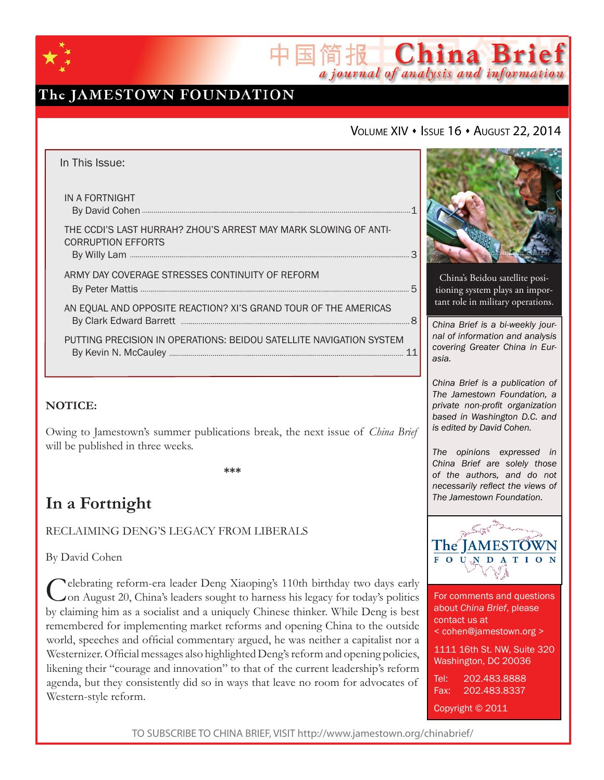

# The JAMESTOWN FOUNDATION

### VOLUME XIV • ISSUE 16 • AUGUST 22, 2014

简报 China Brief

a journal of analysis and information

| In This Issue:                                                                               |  |
|----------------------------------------------------------------------------------------------|--|
| IN A FORTNIGHT                                                                               |  |
| THE CCDI'S LAST HURRAH? ZHOU'S ARREST MAY MARK SLOWING OF ANTI-<br><b>CORRUPTION EFFORTS</b> |  |
| ARMY DAY COVERAGE STRESSES CONTINUITY OF REFORM                                              |  |
| AN EQUAL AND OPPOSITE REACTION? XI'S GRAND TOUR OF THE AMERICAS                              |  |
| PUTTING PRECISION IN OPERATIONS: BEIDOU SATELLITE NAVIGATION SYSTEM                          |  |

### **NOTICE:**

Owing to Jamestown's summer publications break, the next issue of *China Brief*  will be published in three weeks.

**\*\*\***

# **In a Fortnight**

RECLAIMING DENG'S LEGACY FROM LIBERALS

By David Cohen

Celebrating reform-era leader Deng Xiaoping's 110th birthday two days early<br>On August 20, China's leaders sought to harness his legacy for today's politics by claiming him as a socialist and a uniquely Chinese thinker. While Deng is best remembered for implementing market reforms and opening China to the outside world, speeches and official commentary argued, he was neither a capitalist nor a Westernizer. Official messages also highlighted Deng's reform and opening policies, likening their "courage and innovation" to that of the current leadership's reform agenda, but they consistently did so in ways that leave no room for advocates of Western-style reform.



China's Beidou satellite positioning system plays an important role in military operations.

*China Brief is a bi-weekly journal of information and analysis covering Greater China in Eurasia.* 

*China Brief is a publication of The Jamestown Foundation, a private non-profit organization based in Washington D.C. and is edited by David Cohen.*

*The opinions expressed in China Brief are solely those of the authors, and do not necessarily reflect the views of The Jamestown Foundation.*



For comments and questions about *China Brief*, please contact us at < cohen@jamestown.org > 1111 16th St. NW, Suite 320 Washington, DC 20036 Tel: 202.483.8888 Fax: 202.483.8337

Copyright © 2011

TO SUBSCRIBE TO CHINA BRIEF, VISIT http://www.jamestown.org/chinabrief/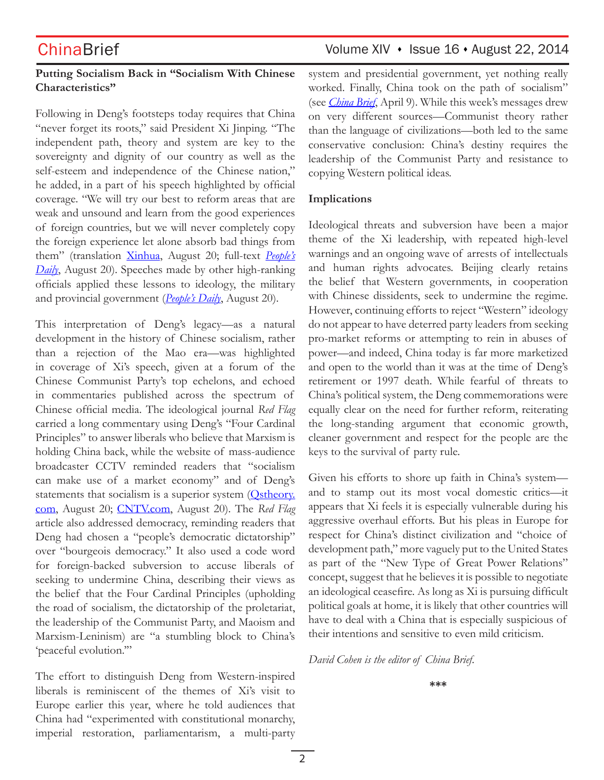### **Putting Socialism Back in "Socialism With Chinese Characteristics"**

Following in Deng's footsteps today requires that China "never forget its roots," said President Xi Jinping. "The independent path, theory and system are key to the sovereignty and dignity of our country as well as the self-esteem and independence of the Chinese nation," he added, in a part of his speech highlighted by official coverage. "We will try our best to reform areas that are weak and unsound and learn from the good experiences of foreign countries, but we will never completely copy the foreign experience let alone absorb bad things from them" (translation Xinhua, August 20; full-text *People's Daily*, August 20). Speeches made by other high-ranking officials applied these lessons to ideology, the military and provincial government (*People's Daily*, August 20).

This interpretation of Deng's legacy—as a natural development in the history of Chinese socialism, rather than a rejection of the Mao era—was highlighted in coverage of Xi's speech, given at a forum of the Chinese Communist Party's top echelons, and echoed in commentaries published across the spectrum of Chinese official media. The ideological journal *Red Flag* carried a long commentary using Deng's "Four Cardinal Principles" to answer liberals who believe that Marxism is holding China back, while the website of mass-audience broadcaster CCTV reminded readers that "socialism can make use of a market economy" and of Deng's statements that socialism is a superior system (Ostheory. com, August 20; CNTV.com, August 20). The *Red Flag*  article also addressed democracy, reminding readers that Deng had chosen a "people's democratic dictatorship" over "bourgeois democracy." It also used a code word for foreign-backed subversion to accuse liberals of seeking to undermine China, describing their views as the belief that the Four Cardinal Principles (upholding the road of socialism, the dictatorship of the proletariat, the leadership of the Communist Party, and Maoism and Marxism-Leninism) are "a stumbling block to China's 'peaceful evolution."

The effort to distinguish Deng from Western-inspired liberals is reminiscent of the themes of Xi's visit to Europe earlier this year, where he told audiences that China had "experimented with constitutional monarchy, imperial restoration, parliamentarism, a multi-party

## ChinaBrief Volume XIV • Issue 16 • August 22, 2014

system and presidential government, yet nothing really worked. Finally, China took on the path of socialism" (see *China Brief*, April 9). While this week's messages drew on very different sources—Communist theory rather than the language of civilizations—both led to the same conservative conclusion: China's destiny requires the leadership of the Communist Party and resistance to copying Western political ideas.

### **Implications**

Ideological threats and subversion have been a major theme of the Xi leadership, with repeated high-level warnings and an ongoing wave of arrests of intellectuals and human rights advocates. Beijing clearly retains the belief that Western governments, in cooperation with Chinese dissidents, seek to undermine the regime. However, continuing efforts to reject "Western" ideology do not appear to have deterred party leaders from seeking pro-market reforms or attempting to rein in abuses of power—and indeed, China today is far more marketized and open to the world than it was at the time of Deng's retirement or 1997 death. While fearful of threats to China's political system, the Deng commemorations were equally clear on the need for further reform, reiterating the long-standing argument that economic growth, cleaner government and respect for the people are the keys to the survival of party rule.

Given his efforts to shore up faith in China's system and to stamp out its most vocal domestic critics—it appears that Xi feels it is especially vulnerable during his aggressive overhaul efforts. But his pleas in Europe for respect for China's distinct civilization and "choice of development path," more vaguely put to the United States as part of the "New Type of Great Power Relations" concept, suggest that he believes it is possible to negotiate an ideological ceasefire. As long as Xi is pursuing difficult political goals at home, it is likely that other countries will have to deal with a China that is especially suspicious of their intentions and sensitive to even mild criticism.

*David Cohen is the editor of China Brief.*

**\*\*\***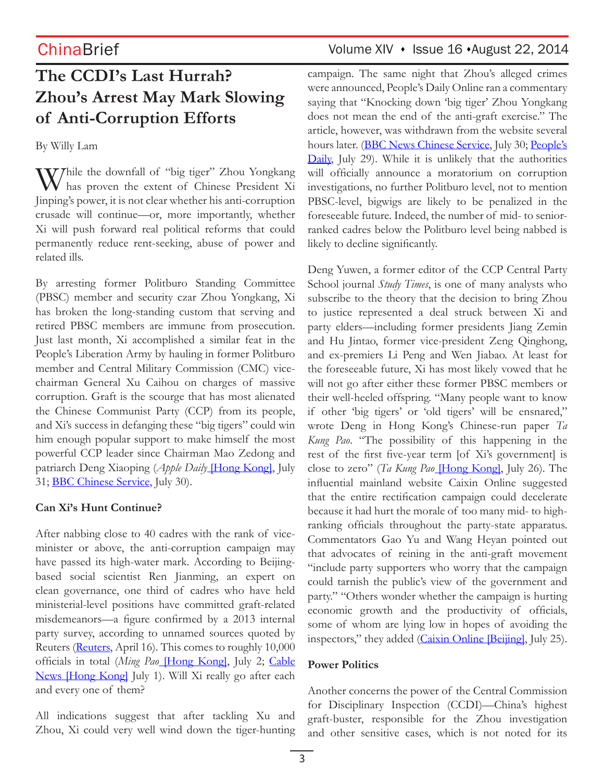# **The CCDI's Last Hurrah? Zhou's Arrest May Mark Slowing of Anti-Corruption Efforts**

By Willy Lam

W/hile the downfall of "big tiger" Zhou Yongkang has proven the extent of Chinese President Xi Jinping's power, it is not clear whether his anti-corruption crusade will continue—or, more importantly, whether Xi will push forward real political reforms that could permanently reduce rent-seeking, abuse of power and related ills.

By arresting former Politburo Standing Committee (PBSC) member and security czar Zhou Yongkang, Xi has broken the long-standing custom that serving and retired PBSC members are immune from prosecution. Just last month, Xi accomplished a similar feat in the People's Liberation Army by hauling in former Politburo member and Central Military Commission (CMC) vicechairman General Xu Caihou on charges of massive corruption. Graft is the scourge that has most alienated the Chinese Communist Party (CCP) from its people, and Xi's success in defanging these "big tigers" could win him enough popular support to make himself the most powerful CCP leader since Chairman Mao Zedong and patriarch Deng Xiaoping (*Apple Daily* [Hong Kong], July 31; **BBC Chinese Service**, July 30).

### **Can Xi's Hunt Continue?**

After nabbing close to 40 cadres with the rank of viceminister or above, the anti-corruption campaign may have passed its high-water mark. According to Beijingbased social scientist Ren Jianming, an expert on clean governance, one third of cadres who have held ministerial-level positions have committed graft-related misdemeanors—a figure confirmed by a 2013 internal party survey, according to unnamed sources quoted by Reuters (Reuters, April 16). This comes to roughly 10,000 officials in total (*Ming Pao* [Hong Kong], July 2; Cable News [Hong Kong] July 1). Will Xi really go after each and every one of them?

All indications suggest that after tackling Xu and Zhou, Xi could very well wind down the tiger-hunting

# ChinaBrief Volume XIV · Issue 16 · August 22, 2014

campaign. The same night that Zhou's alleged crimes were announced, People's Daily Online ran a commentary saying that "Knocking down 'big tiger' Zhou Yongkang does not mean the end of the anti-graft exercise." The article, however, was withdrawn from the website several hours later. (BBC News Chinese Service, July 30; People's Daily, July 29). While it is unlikely that the authorities will officially announce a moratorium on corruption investigations, no further Politburo level, not to mention PBSC-level, bigwigs are likely to be penalized in the foreseeable future. Indeed, the number of mid- to seniorranked cadres below the Politburo level being nabbed is likely to decline significantly.

Deng Yuwen, a former editor of the CCP Central Party School journal *Study Times*, is one of many analysts who subscribe to the theory that the decision to bring Zhou to justice represented a deal struck between Xi and party elders—including former presidents Jiang Zemin and Hu Jintao, former vice-president Zeng Qinghong, and ex-premiers Li Peng and Wen Jiabao. At least for the foreseeable future, Xi has most likely vowed that he will not go after either these former PBSC members or their well-heeled offspring. "Many people want to know if other 'big tigers' or 'old tigers' will be ensnared," wrote Deng in Hong Kong's Chinese-run paper *Ta Kung Pao*. "The possibility of this happening in the rest of the first five-year term [of Xi's government] is close to zero" (*Ta Kung Pao* [Hong Kong], July 26). The influential mainland website Caixin Online suggested that the entire rectification campaign could decelerate because it had hurt the morale of too many mid- to highranking officials throughout the party-state apparatus. Commentators Gao Yu and Wang Heyan pointed out that advocates of reining in the anti-graft movement "include party supporters who worry that the campaign could tarnish the public's view of the government and party." "Others wonder whether the campaign is hurting economic growth and the productivity of officials, some of whom are lying low in hopes of avoiding the inspectors," they added (Caixin Online [Beijing], July 25).

### **Power Politics**

Another concerns the power of the Central Commission for Disciplinary Inspection (CCDI)—China's highest graft-buster, responsible for the Zhou investigation and other sensitive cases, which is not noted for its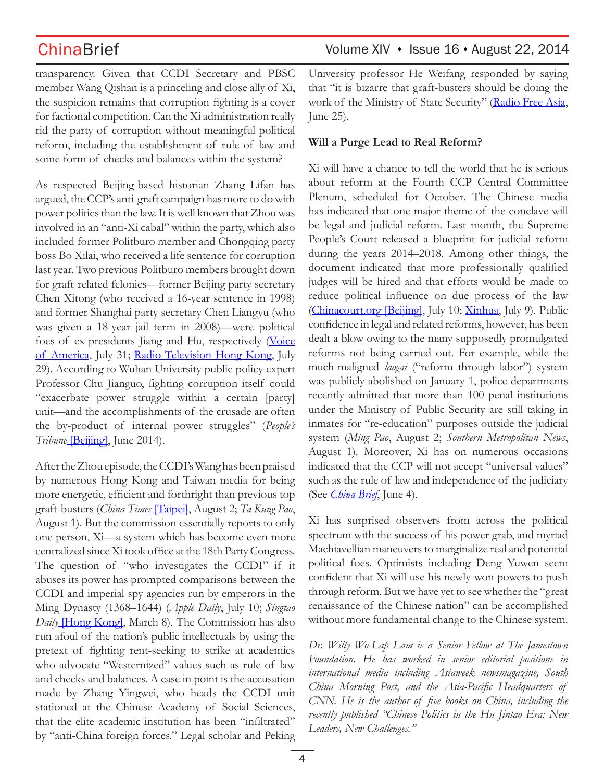transparency. Given that CCDI Secretary and PBSC member Wang Qishan is a princeling and close ally of Xi, the suspicion remains that corruption-fighting is a cover for factional competition. Can the Xi administration really rid the party of corruption without meaningful political reform, including the establishment of rule of law and some form of checks and balances within the system?

As respected Beijing-based historian Zhang Lifan has argued, the CCP's anti-graft campaign has more to do with power politics than the law. It is well known that Zhou was involved in an "anti-Xi cabal" within the party, which also included former Politburo member and Chongqing party boss Bo Xilai, who received a life sentence for corruption last year. Two previous Politburo members brought down for graft-related felonies—former Beijing party secretary Chen Xitong (who received a 16-year sentence in 1998) and former Shanghai party secretary Chen Liangyu (who was given a 18-year jail term in 2008)—were political foes of ex-presidents Jiang and Hu, respectively (Voice of America, July 31; Radio Television Hong Kong, July 29). According to Wuhan University public policy expert Professor Chu Jianguo, fighting corruption itself could "exacerbate power struggle within a certain [party] unit—and the accomplishments of the crusade are often the by-product of internal power struggles" (*People's Tribune* **[Beijing]**, June 2014).

After the Zhou episode, the CCDI's Wang has been praised by numerous Hong Kong and Taiwan media for being more energetic, efficient and forthright than previous top graft-busters (*China Times* [Taipei], August 2; *Ta Kung Pao*, August 1). But the commission essentially reports to only one person, Xi—a system which has become even more centralized since Xi took office at the 18th Party Congress. The question of "who investigates the CCDI" if it abuses its power has prompted comparisons between the CCDI and imperial spy agencies run by emperors in the Ming Dynasty (1368–1644) (*Apple Daily*, July 10; *Singtao Daily* [Hong Kong], March 8). The Commission has also run afoul of the nation's public intellectuals by using the pretext of fighting rent-seeking to strike at academics who advocate "Westernized" values such as rule of law and checks and balances. A case in point is the accusation made by Zhang Yingwei, who heads the CCDI unit stationed at the Chinese Academy of Social Sciences, that the elite academic institution has been "infiltrated" by "anti-China foreign forces." Legal scholar and Peking

University professor He Weifang responded by saying that "it is bizarre that graft-busters should be doing the work of the Ministry of State Security" (Radio Free Asia, June 25).

### **Will a Purge Lead to Real Reform?**

Xi will have a chance to tell the world that he is serious about reform at the Fourth CCP Central Committee Plenum, scheduled for October. The Chinese media has indicated that one major theme of the conclave will be legal and judicial reform. Last month, the Supreme People's Court released a blueprint for judicial reform during the years 2014–2018. Among other things, the document indicated that more professionally qualified judges will be hired and that efforts would be made to reduce political influence on due process of the law (Chinacourt.org [Beijing], July 10; Xinhua, July 9). Public confidence in legal and related reforms, however, has been dealt a blow owing to the many supposedly promulgated reforms not being carried out. For example, while the much-maligned *laogai* ("reform through labor") system was publicly abolished on January 1, police departments recently admitted that more than 100 penal institutions under the Ministry of Public Security are still taking in inmates for "re-education" purposes outside the judicial system (*Ming Pao*, August 2; *Southern Metropolitan News*, August 1). Moreover, Xi has on numerous occasions indicated that the CCP will not accept "universal values" such as the rule of law and independence of the judiciary (See *China Brief*, June 4).

Xi has surprised observers from across the political spectrum with the success of his power grab, and myriad Machiavellian maneuvers to marginalize real and potential political foes. Optimists including Deng Yuwen seem confident that Xi will use his newly-won powers to push through reform. But we have yet to see whether the "great renaissance of the Chinese nation" can be accomplished without more fundamental change to the Chinese system.

*Dr. Willy Wo-Lap Lam is a Senior Fellow at The Jamestown Foundation. He has worked in senior editorial positions in international media including Asiaweek newsmagazine, South China Morning Post, and the Asia-Pacific Headquarters of CNN. He is the author of five books on China, including the recently published "Chinese Politics in the Hu Jintao Era: New Leaders, New Challenges."*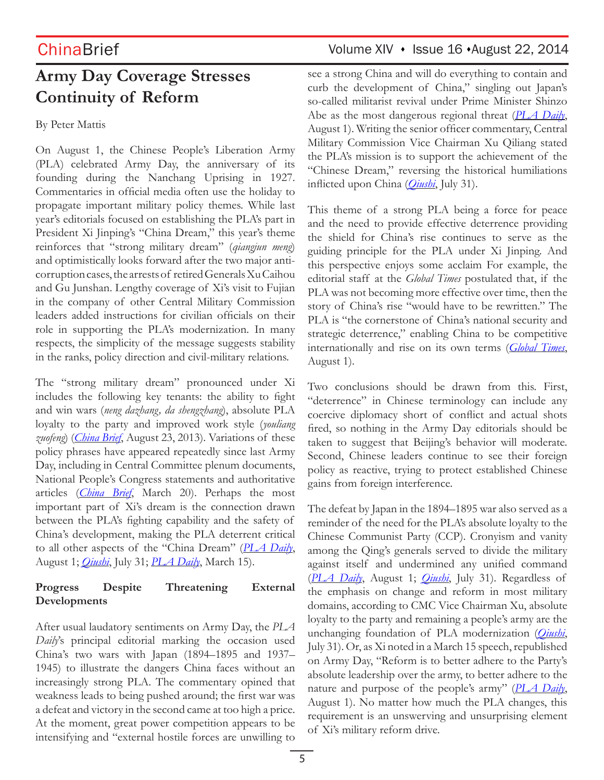# **Army Day Coverage Stresses Continuity of Reform**

### By Peter Mattis

On August 1, the Chinese People's Liberation Army (PLA) celebrated Army Day, the anniversary of its founding during the Nanchang Uprising in 1927. Commentaries in official media often use the holiday to propagate important military policy themes. While last year's editorials focused on establishing the PLA's part in President Xi Jinping's "China Dream," this year's theme reinforces that "strong military dream" (*qiangjun meng*) and optimistically looks forward after the two major anticorruption cases, the arrests of retired Generals Xu Caihou and Gu Junshan. Lengthy coverage of Xi's visit to Fujian in the company of other Central Military Commission leaders added instructions for civilian officials on their role in supporting the PLA's modernization. In many respects, the simplicity of the message suggests stability in the ranks, policy direction and civil-military relations.

The "strong military dream" pronounced under Xi includes the following key tenants: the ability to fight and win wars (*neng dazhang, da shengzhang*), absolute PLA loyalty to the party and improved work style (*youliang zuofeng*) (*China Brief*, August 23, 2013). Variations of these policy phrases have appeared repeatedly since last Army Day, including in Central Committee plenum documents, National People's Congress statements and authoritative articles (*China Brief*, March 20). Perhaps the most important part of Xi's dream is the connection drawn between the PLA's fighting capability and the safety of China's development, making the PLA deterrent critical to all other aspects of the "China Dream" (*PLA Daily*, August 1; *Qiushi*, July 31; *PLA Daily*, March 15).

### **Progress Despite Threatening External Developments**

After usual laudatory sentiments on Army Day, the *PLA Daily*'s principal editorial marking the occasion used China's two wars with Japan (1894–1895 and 1937– 1945) to illustrate the dangers China faces without an increasingly strong PLA. The commentary opined that weakness leads to being pushed around; the first war was a defeat and victory in the second came at too high a price. At the moment, great power competition appears to be intensifying and "external hostile forces are unwilling to

## ChinaBrief Volume XIV · Issue 16 · August 22, 2014

see a strong China and will do everything to contain and curb the development of China," singling out Japan's so-called militarist revival under Prime Minister Shinzo Abe as the most dangerous regional threat (*PLA Daily*, August 1). Writing the senior officer commentary, Central Military Commission Vice Chairman Xu Qiliang stated the PLA's mission is to support the achievement of the "Chinese Dream," reversing the historical humiliations inflicted upon China (*Qiushi*, July 31).

This theme of a strong PLA being a force for peace and the need to provide effective deterrence providing the shield for China's rise continues to serve as the guiding principle for the PLA under Xi Jinping. And this perspective enjoys some acclaim For example, the editorial staff at the *Global Times* postulated that, if the PLA was not becoming more effective over time, then the story of China's rise "would have to be rewritten." The PLA is "the cornerstone of China's national security and strategic deterrence," enabling China to be competitive internationally and rise on its own terms (*Global Times*, August 1).

Two conclusions should be drawn from this. First, "deterrence" in Chinese terminology can include any coercive diplomacy short of conflict and actual shots fired, so nothing in the Army Day editorials should be taken to suggest that Beijing's behavior will moderate. Second, Chinese leaders continue to see their foreign policy as reactive, trying to protect established Chinese gains from foreign interference.

The defeat by Japan in the 1894–1895 war also served as a reminder of the need for the PLA's absolute loyalty to the Chinese Communist Party (CCP). Cronyism and vanity among the Qing's generals served to divide the military against itself and undermined any unified command (*PLA Daily*, August 1; *Qiushi*, July 31). Regardless of the emphasis on change and reform in most military domains, according to CMC Vice Chairman Xu, absolute loyalty to the party and remaining a people's army are the unchanging foundation of PLA modernization (*Qiushi*, July 31). Or, as Xi noted in a March 15 speech, republished on Army Day, "Reform is to better adhere to the Party's absolute leadership over the army, to better adhere to the nature and purpose of the people's army" (*PLA Daily*, August 1). No matter how much the PLA changes, this requirement is an unswerving and unsurprising element of Xi's military reform drive.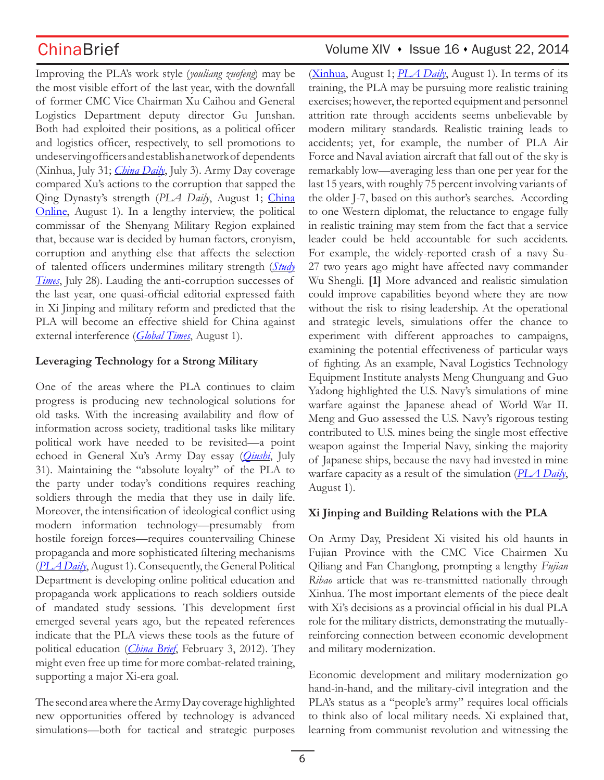Improving the PLA's work style (*youliang zuofeng*) may be the most visible effort of the last year, with the downfall of former CMC Vice Chairman Xu Caihou and General Logistics Department deputy director Gu Junshan. Both had exploited their positions, as a political officer and logistics officer, respectively, to sell promotions to undeserving officers and establish a network of dependents (Xinhua, July 31; *China Daily*, July 3). Army Day coverage compared Xu's actions to the corruption that sapped the Qing Dynasty's strength (*PLA Daily*, August 1; China Online, August 1). In a lengthy interview, the political commissar of the Shenyang Military Region explained that, because war is decided by human factors, cronyism, corruption and anything else that affects the selection of talented officers undermines military strength (*Study Times*, July 28). Lauding the anti-corruption successes of the last year, one quasi-official editorial expressed faith in Xi Jinping and military reform and predicted that the PLA will become an effective shield for China against external interference (*Global Times*, August 1).

### **Leveraging Technology for a Strong Military**

One of the areas where the PLA continues to claim progress is producing new technological solutions for old tasks. With the increasing availability and flow of information across society, traditional tasks like military political work have needed to be revisited—a point echoed in General Xu's Army Day essay (*Qiushi*, July 31). Maintaining the "absolute loyalty" of the PLA to the party under today's conditions requires reaching soldiers through the media that they use in daily life. Moreover, the intensification of ideological conflict using modern information technology—presumably from hostile foreign forces—requires countervailing Chinese propaganda and more sophisticated filtering mechanisms (*PLA Daily*, August 1). Consequently, the General Political Department is developing online political education and propaganda work applications to reach soldiers outside of mandated study sessions. This development first emerged several years ago, but the repeated references indicate that the PLA views these tools as the future of political education (*China Brief*, February 3, 2012). They might even free up time for more combat-related training, supporting a major Xi-era goal.

The second area where the Army Day coverage highlighted new opportunities offered by technology is advanced simulations—both for tactical and strategic purposes

## ChinaBrief Volume XIV • Issue 16 • August 22, 2014

(Xinhua, August 1; *PLA Daily*, August 1). In terms of its training, the PLA may be pursuing more realistic training exercises; however, the reported equipment and personnel attrition rate through accidents seems unbelievable by modern military standards. Realistic training leads to accidents; yet, for example, the number of PLA Air Force and Naval aviation aircraft that fall out of the sky is remarkably low—averaging less than one per year for the last 15 years, with roughly 75 percent involving variants of the older J-7, based on this author's searches. According to one Western diplomat, the reluctance to engage fully in realistic training may stem from the fact that a service leader could be held accountable for such accidents. For example, the widely-reported crash of a navy Su-27 two years ago might have affected navy commander Wu Shengli. **[1]** More advanced and realistic simulation could improve capabilities beyond where they are now without the risk to rising leadership. At the operational and strategic levels, simulations offer the chance to experiment with different approaches to campaigns, examining the potential effectiveness of particular ways of fighting. As an example, Naval Logistics Technology Equipment Institute analysts Meng Chunguang and Guo Yadong highlighted the U.S. Navy's simulations of mine warfare against the Japanese ahead of World War II. Meng and Guo assessed the U.S. Navy's rigorous testing contributed to U.S. mines being the single most effective weapon against the Imperial Navy, sinking the majority of Japanese ships, because the navy had invested in mine warfare capacity as a result of the simulation (*PLA Daily*, August 1).

### **Xi Jinping and Building Relations with the PLA**

On Army Day, President Xi visited his old haunts in Fujian Province with the CMC Vice Chairmen Xu Qiliang and Fan Changlong, prompting a lengthy *Fujian Ribao* article that was re-transmitted nationally through Xinhua. The most important elements of the piece dealt with Xi's decisions as a provincial official in his dual PLA role for the military districts, demonstrating the mutuallyreinforcing connection between economic development and military modernization.

Economic development and military modernization go hand-in-hand, and the military-civil integration and the PLA's status as a "people's army" requires local officials to think also of local military needs. Xi explained that, learning from communist revolution and witnessing the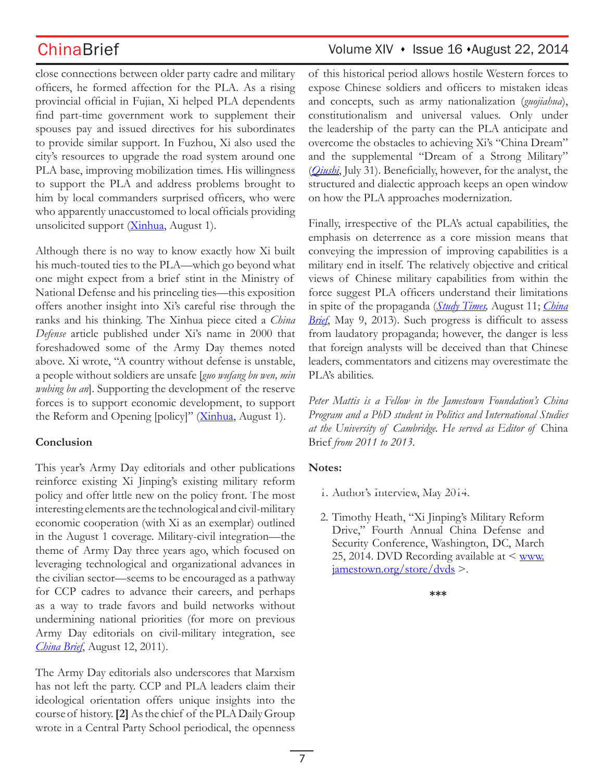close connections between older party cadre and military officers, he formed affection for the PLA. As a rising provincial official in Fujian, Xi helped PLA dependents find part-time government work to supplement their spouses pay and issued directives for his subordinates to provide similar support. In Fuzhou, Xi also used the city's resources to upgrade the road system around one PLA base, improving mobilization times. His willingness to support the PLA and address problems brought to him by local commanders surprised officers, who were who apparently unaccustomed to local officials providing unsolicited support (Xinhua, August 1).

Although there is no way to know exactly how Xi built his much-touted ties to the PLA—which go beyond what one might expect from a brief stint in the Ministry of National Defense and his princeling ties—this exposition offers another insight into Xi's careful rise through the ranks and his thinking. The Xinhua piece cited a *China Defense* article published under Xi's name in 2000 that foreshadowed some of the Army Day themes noted above. Xi wrote, "A country without defense is unstable, a people without soldiers are unsafe [*guo wufang bu wen, min wubing bu an*]. Supporting the development of the reserve forces is to support economic development, to support the Reform and Opening [policy]" (Xinhua, August 1).

### **Conclusion**

This year's Army Day editorials and other publications reinforce existing Xi Jinping's existing military reform policy and offer little new on the policy front. The most interesting elements are the technological and civil-military economic cooperation (with Xi as an exemplar) outlined in the August 1 coverage. Military-civil integration—the theme of Army Day three years ago, which focused on leveraging technological and organizational advances in the civilian sector—seems to be encouraged as a pathway for CCP cadres to advance their careers, and perhaps as a way to trade favors and build networks without undermining national priorities (for more on previous Army Day editorials on civil-military integration, see *China Brief*, August 12, 2011).

The Army Day editorials also underscores that Marxism has not left the party. CCP and PLA leaders claim their ideological orientation offers unique insights into the course of history. **[2]** As the chief of the PLA Daily Group wrote in a Central Party School periodical, the openness

# ChinaBrief Volume XIV · Issue 16 · August 22, 2014

of this historical period allows hostile Western forces to expose Chinese soldiers and officers to mistaken ideas and concepts, such as army nationalization (*guojiahua*), constitutionalism and universal values. Only under the leadership of the party can the PLA anticipate and overcome the obstacles to achieving Xi's "China Dream" and the supplemental "Dream of a Strong Military" (*Qiushi*, July 31). Beneficially, however, for the analyst, the structured and dialectic approach keeps an open window on how the PLA approaches modernization.

Finally, irrespective of the PLA's actual capabilities, the emphasis on deterrence as a core mission means that conveying the impression of improving capabilities is a military end in itself. The relatively objective and critical views of Chinese military capabilities from within the force suggest PLA officers understand their limitations in spite of the propaganda (*Study Times,* August 11; *China Brief*, May 9, 2013). Such progress is difficult to assess from laudatory propaganda; however, the danger is less that foreign analysts will be deceived than that Chinese leaders, commentators and citizens may overestimate the PLA's abilities.

*Peter Mattis is a Fellow in the Jamestown Foundation's China Program and a PhD student in Politics and International Studies at the University of Cambridge. He served as Editor of* China Brief *from 2011 to 2013.*

### **Notes:**

- 1. Author's Interview, May 2014.
- 2. Timothy Heath, "Xi Jinping's Military Reform Drive," Fourth Annual China Defense and Security Conference, Washington, DC, March 25, 2014. DVD Recording available at  $\leq$  www.  $\frac{1}{2}$ jamestown.org/store/dvds >.

```
***
```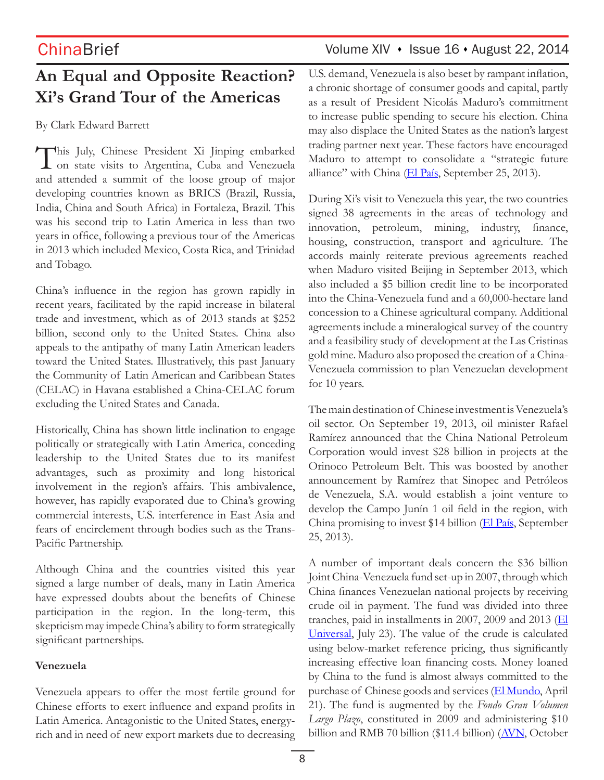# **An Equal and Opposite Reaction? Xi's Grand Tour of the Americas**

By Clark Edward Barrett

This July, Chinese President Xi Jinping embarked on state visits to Argentina, Cuba and Venezuela and attended a summit of the loose group of major developing countries known as BRICS (Brazil, Russia, India, China and South Africa) in Fortaleza, Brazil. This was his second trip to Latin America in less than two years in office, following a previous tour of the Americas in 2013 which included Mexico, Costa Rica, and Trinidad and Tobago.

China's influence in the region has grown rapidly in recent years, facilitated by the rapid increase in bilateral trade and investment, which as of 2013 stands at \$252 billion, second only to the United States. China also appeals to the antipathy of many Latin American leaders toward the United States. Illustratively, this past January the Community of Latin American and Caribbean States (CELAC) in Havana established a China-CELAC forum excluding the United States and Canada.

Historically, China has shown little inclination to engage politically or strategically with Latin America, conceding leadership to the United States due to its manifest advantages, such as proximity and long historical involvement in the region's affairs. This ambivalence, however, has rapidly evaporated due to China's growing commercial interests, U.S. interference in East Asia and fears of encirclement through bodies such as the Trans-Pacific Partnership.

Although China and the countries visited this year signed a large number of deals, many in Latin America have expressed doubts about the benefits of Chinese participation in the region. In the long-term, this skepticism may impede China's ability to form strategically significant partnerships.

### **Venezuela**

Venezuela appears to offer the most fertile ground for Chinese efforts to exert influence and expand profits in Latin America. Antagonistic to the United States, energyrich and in need of new export markets due to decreasing

# ChinaBrief Volume XIV • Issue 16 • August 22, 2014

U.S. demand, Venezuela is also beset by rampant inflation, a chronic shortage of consumer goods and capital, partly as a result of President Nicolás Maduro's commitment to increase public spending to secure his election. China may also displace the United States as the nation's largest trading partner next year. These factors have encouraged Maduro to attempt to consolidate a "strategic future alliance" with China  $(EI \text{ País}, \text{September 25}, 2013)$ .

During Xi's visit to Venezuela this year, the two countries signed 38 agreements in the areas of technology and innovation, petroleum, mining, industry, finance, housing, construction, transport and agriculture. The accords mainly reiterate previous agreements reached when Maduro visited Beijing in September 2013, which also included a \$5 billion credit line to be incorporated into the China-Venezuela fund and a 60,000-hectare land concession to a Chinese agricultural company. Additional agreements include a mineralogical survey of the country and a feasibility study of development at the Las Cristinas gold mine. Maduro also proposed the creation of a China-Venezuela commission to plan Venezuelan development for 10 years.

The main destination of Chinese investment is Venezuela's oil sector. On September 19, 2013, oil minister Rafael Ramírez announced that the China National Petroleum Corporation would invest \$28 billion in projects at the Orinoco Petroleum Belt. This was boosted by another announcement by Ramírez that Sinopec and Petróleos de Venezuela, S.A. would establish a joint venture to develop the Campo Junín 1 oil field in the region, with China promising to invest \$14 billion (El País, September 25, 2013).

A number of important deals concern the \$36 billion Joint China-Venezuela fund set-up in 2007, through which China finances Venezuelan national projects by receiving crude oil in payment. The fund was divided into three tranches, paid in installments in 2007, 2009 and 2013 ( $E$ l Universal, July 23). The value of the crude is calculated using below-market reference pricing, thus significantly increasing effective loan financing costs. Money loaned by China to the fund is almost always committed to the purchase of Chinese goods and services (El Mundo, April 21). The fund is augmented by the *Fondo Gran Volumen Largo Plazo*, constituted in 2009 and administering \$10 billion and RMB 70 billion (\$11.4 billion) (AVN, October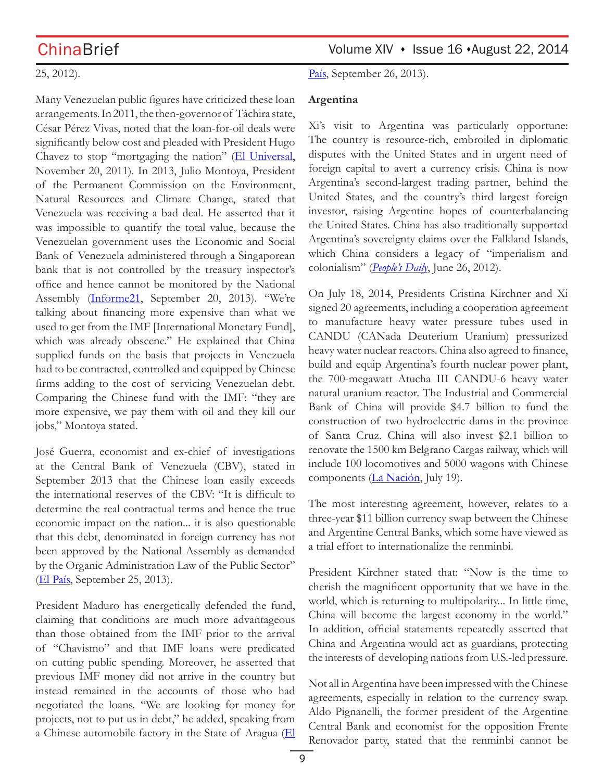### 25, 2012).

Many Venezuelan public figures have criticized these loan arrangements. In 2011, the then-governor of Táchira state, César Pérez Vivas, noted that the loan-for-oil deals were significantly below cost and pleaded with President Hugo Chavez to stop "mortgaging the nation" (El Universal, November 20, 2011). In 2013, Julio Montoya, President of the Permanent Commission on the Environment, Natural Resources and Climate Change, stated that Venezuela was receiving a bad deal. He asserted that it was impossible to quantify the total value, because the Venezuelan government uses the Economic and Social Bank of Venezuela administered through a Singaporean bank that is not controlled by the treasury inspector's office and hence cannot be monitored by the National Assembly (Informe21, September 20, 2013). "We're talking about financing more expensive than what we used to get from the IMF [International Monetary Fund], which was already obscene." He explained that China supplied funds on the basis that projects in Venezuela had to be contracted, controlled and equipped by Chinese firms adding to the cost of servicing Venezuelan debt. Comparing the Chinese fund with the IMF: "they are more expensive, we pay them with oil and they kill our jobs," Montoya stated.

José Guerra, economist and ex-chief of investigations at the Central Bank of Venezuela (CBV), stated in September 2013 that the Chinese loan easily exceeds the international reserves of the CBV: "It is difficult to determine the real contractual terms and hence the true economic impact on the nation... it is also questionable that this debt, denominated in foreign currency has not been approved by the National Assembly as demanded by the Organic Administration Law of the Public Sector" (El País, September 25, 2013).

President Maduro has energetically defended the fund, claiming that conditions are much more advantageous than those obtained from the IMF prior to the arrival of "Chavismo" and that IMF loans were predicated on cutting public spending. Moreover, he asserted that previous IMF money did not arrive in the country but instead remained in the accounts of those who had negotiated the loans. "We are looking for money for projects, not to put us in debt," he added, speaking from a Chinese automobile factory in the State of Aragua (El

País, September 26, 2013).

### **Argentina**

Xi's visit to Argentina was particularly opportune: The country is resource-rich, embroiled in diplomatic disputes with the United States and in urgent need of foreign capital to avert a currency crisis. China is now Argentina's second-largest trading partner, behind the United States, and the country's third largest foreign investor, raising Argentine hopes of counterbalancing the United States. China has also traditionally supported Argentina's sovereignty claims over the Falkland Islands, which China considers a legacy of "imperialism and colonialism" (*People's Daily*, June 26, 2012).

On July 18, 2014, Presidents Cristina Kirchner and Xi signed 20 agreements, including a cooperation agreement to manufacture heavy water pressure tubes used in CANDU (CANada Deuterium Uranium) pressurized heavy water nuclear reactors. China also agreed to finance, build and equip Argentina's fourth nuclear power plant, the 700-megawatt Atucha III CANDU-6 heavy water natural uranium reactor. The Industrial and Commercial Bank of China will provide \$4.7 billion to fund the construction of two hydroelectric dams in the province of Santa Cruz. China will also invest \$2.1 billion to renovate the 1500 km Belgrano Cargas railway, which will include 100 locomotives and 5000 wagons with Chinese components (La Nación, July 19).

The most interesting agreement, however, relates to a three-year \$11 billion currency swap between the Chinese and Argentine Central Banks, which some have viewed as a trial effort to internationalize the renminbi.

President Kirchner stated that: "Now is the time to cherish the magnificent opportunity that we have in the world, which is returning to multipolarity... In little time, China will become the largest economy in the world." In addition, official statements repeatedly asserted that China and Argentina would act as guardians, protecting the interests of developing nations from U.S.-led pressure.

Not all in Argentina have been impressed with the Chinese agreements, especially in relation to the currency swap. Aldo Pignanelli, the former president of the Argentine Central Bank and economist for the opposition Frente Renovador party, stated that the renminbi cannot be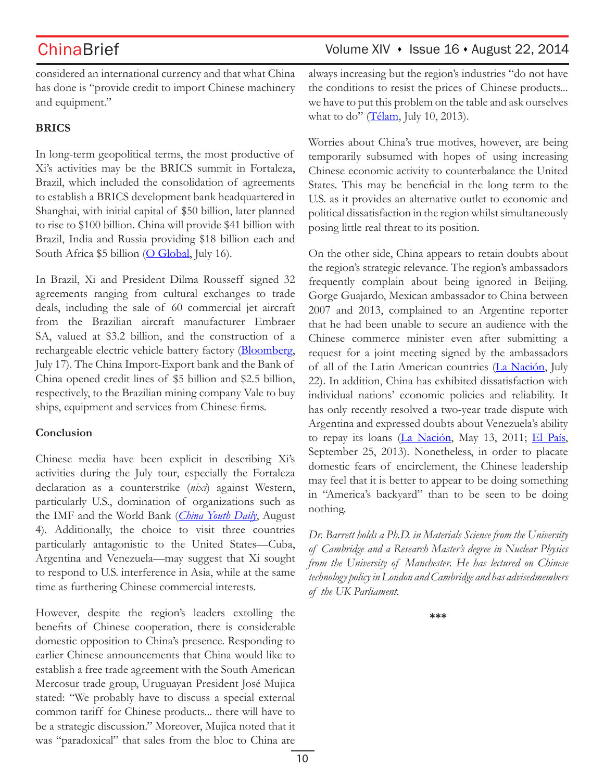### considered an international currency and that what China has done is "provide credit to import Chinese machinery and equipment."

### **BRICS**

In long-term geopolitical terms, the most productive of Xi's activities may be the BRICS summit in Fortaleza, Brazil, which included the consolidation of agreements to establish a BRICS development bank headquartered in Shanghai, with initial capital of \$50 billion, later planned to rise to \$100 billion. China will provide \$41 billion with Brazil, India and Russia providing \$18 billion each and South Africa  $$5$  billion (O Global, July 16).

In Brazil, Xi and President Dilma Rousseff signed 32 agreements ranging from cultural exchanges to trade deals, including the sale of 60 commercial jet aircraft from the Brazilian aircraft manufacturer Embraer SA, valued at \$3.2 billion, and the construction of a rechargeable electric vehicle battery factory (Bloomberg, July 17). The China Import-Export bank and the Bank of China opened credit lines of \$5 billion and \$2.5 billion, respectively, to the Brazilian mining company Vale to buy ships, equipment and services from Chinese firms.

### **Conclusion**

Chinese media have been explicit in describing Xi's activities during the July tour, especially the Fortaleza declaration as a counterstrike (*nixi*) against Western, particularly U.S., domination of organizations such as the IMF and the World Bank (*China Youth Daily*, August 4). Additionally, the choice to visit three countries particularly antagonistic to the United States—Cuba, Argentina and Venezuela—may suggest that Xi sought to respond to U.S. interference in Asia, while at the same time as furthering Chinese commercial interests.

However, despite the region's leaders extolling the benefits of Chinese cooperation, there is considerable domestic opposition to China's presence. Responding to earlier Chinese announcements that China would like to establish a free trade agreement with the South American Mercosur trade group, Uruguayan President José Mujica stated: "We probably have to discuss a special external common tariff for Chinese products... there will have to be a strategic discussion." Moreover, Mujica noted that it was "paradoxical" that sales from the bloc to China are

## ChinaBrief Volume XIV • Issue 16 • August 22, 2014

always increasing but the region's industries "do not have the conditions to resist the prices of Chinese products... we have to put this problem on the table and ask ourselves what to do" ( $\overline{\text{Télam}}$ , July 10, 2013).

Worries about China's true motives, however, are being temporarily subsumed with hopes of using increasing Chinese economic activity to counterbalance the United States. This may be beneficial in the long term to the U.S. as it provides an alternative outlet to economic and political dissatisfaction in the region whilst simultaneously posing little real threat to its position.

On the other side, China appears to retain doubts about the region's strategic relevance. The region's ambassadors frequently complain about being ignored in Beijing. Gorge Guajardo, Mexican ambassador to China between 2007 and 2013, complained to an Argentine reporter that he had been unable to secure an audience with the Chinese commerce minister even after submitting a request for a joint meeting signed by the ambassadors of all of the Latin American countries (La Nación, July 22). In addition, China has exhibited dissatisfaction with individual nations' economic policies and reliability. It has only recently resolved a two-year trade dispute with Argentina and expressed doubts about Venezuela's ability to repay its loans (La Nación, May 13, 2011; El País, September 25, 2013). Nonetheless, in order to placate domestic fears of encirclement, the Chinese leadership may feel that it is better to appear to be doing something in "America's backyard" than to be seen to be doing nothing.

*Dr. Barrett holds a Ph.D. in Materials Science from the University of Cambridge and a Research Master's degree in Nuclear Physics from the University of Manchester. He has lectured on Chinese technology policy in London and Cambridge and has advisedmembers of the UK Parliament.*

**\*\*\***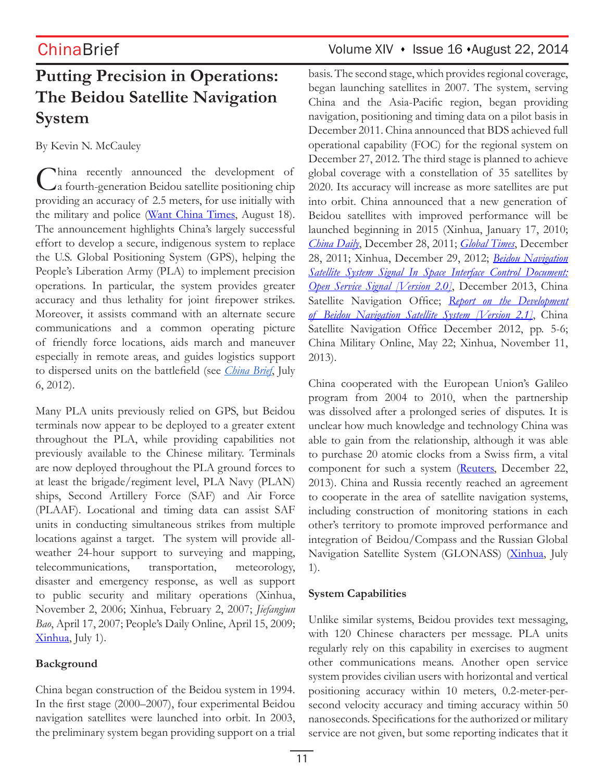# **Putting Precision in Operations: The Beidou Satellite Navigation System**

By Kevin N. McCauley

China recently announced the development of a fourth-generation Beidou satellite positioning chip providing an accuracy of 2.5 meters, for use initially with the military and police (Want China Times, August 18). The announcement highlights China's largely successful effort to develop a secure, indigenous system to replace the U.S. Global Positioning System (GPS), helping the People's Liberation Army (PLA) to implement precision operations. In particular, the system provides greater accuracy and thus lethality for joint firepower strikes. Moreover, it assists command with an alternate secure communications and a common operating picture of friendly force locations, aids march and maneuver especially in remote areas, and guides logistics support to dispersed units on the battlefield (see *China Brief*, July 6, 2012).

Many PLA units previously relied on GPS, but Beidou terminals now appear to be deployed to a greater extent throughout the PLA, while providing capabilities not previously available to the Chinese military. Terminals are now deployed throughout the PLA ground forces to at least the brigade/regiment level, PLA Navy (PLAN) ships, Second Artillery Force (SAF) and Air Force (PLAAF). Locational and timing data can assist SAF units in conducting simultaneous strikes from multiple locations against a target. The system will provide allweather 24-hour support to surveying and mapping, telecommunications, transportation, meteorology, disaster and emergency response, as well as support to public security and military operations (Xinhua, November 2, 2006; Xinhua, February 2, 2007; *Jiefangjun Bao*, April 17, 2007; People's Daily Online, April 15, 2009; Xinhua, July 1).

### **Background**

China began construction of the Beidou system in 1994. In the first stage (2000–2007), four experimental Beidou navigation satellites were launched into orbit. In 2003, the preliminary system began providing support on a trial

# ChinaBrief Volume XIV · Issue 16 · August 22, 2014

basis. The second stage, which provides regional coverage, began launching satellites in 2007. The system, serving China and the Asia-Pacific region, began providing navigation, positioning and timing data on a pilot basis in December 2011. China announced that BDS achieved full operational capability (FOC) for the regional system on December 27, 2012. The third stage is planned to achieve global coverage with a constellation of 35 satellites by 2020. Its accuracy will increase as more satellites are put into orbit. China announced that a new generation of Beidou satellites with improved performance will be launched beginning in 2015 (Xinhua, January 17, 2010; *China Daily*, December 28, 2011; *Global Times*, December 28, 2011; Xinhua, December 29, 2012; *Beidou Navigation Satellite System Signal In Space Interface Control Document: Open Service Signal [Version 2.0]*, December 2013, China Satellite Navigation Office; *Report on the Development of Beidou Navigation Satellite System [Version 2.1]*, China Satellite Navigation Office December 2012, pp. 5-6; China Military Online, May 22; Xinhua, November 11, 2013).

China cooperated with the European Union's Galileo program from 2004 to 2010, when the partnership was dissolved after a prolonged series of disputes. It is unclear how much knowledge and technology China was able to gain from the relationship, although it was able to purchase 20 atomic clocks from a Swiss firm, a vital component for such a system (Reuters, December 22, 2013). China and Russia recently reached an agreement to cooperate in the area of satellite navigation systems, including construction of monitoring stations in each other's territory to promote improved performance and integration of Beidou/Compass and the Russian Global Navigation Satellite System (GLONASS) (Xinhua, July 1).

### **System Capabilities**

Unlike similar systems, Beidou provides text messaging, with 120 Chinese characters per message. PLA units regularly rely on this capability in exercises to augment other communications means. Another open service system provides civilian users with horizontal and vertical positioning accuracy within 10 meters, 0.2-meter-persecond velocity accuracy and timing accuracy within 50 nanoseconds. Specifications for the authorized or military service are not given, but some reporting indicates that it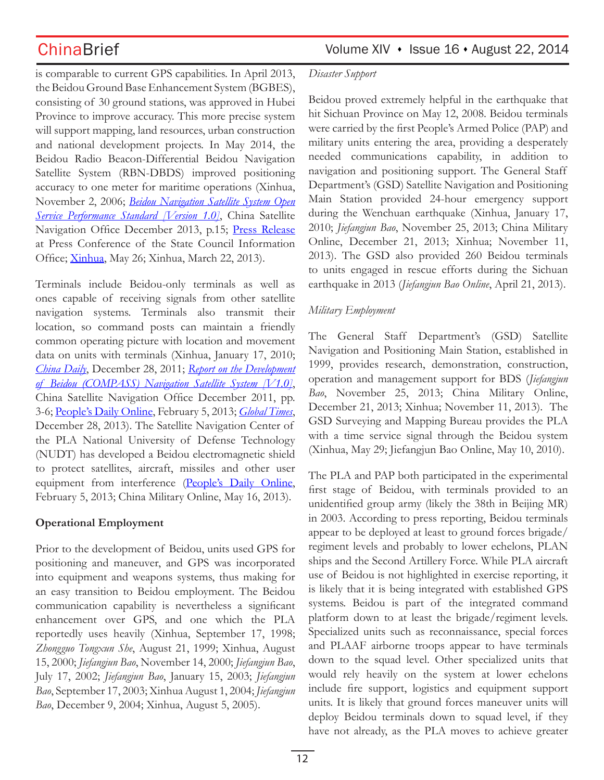is comparable to current GPS capabilities. In April 2013, the Beidou Ground Base Enhancement System (BGBES), consisting of 30 ground stations, was approved in Hubei Province to improve accuracy. This more precise system will support mapping, land resources, urban construction and national development projects. In May 2014, the Beidou Radio Beacon-Differential Beidou Navigation Satellite System (RBN-DBDS) improved positioning accuracy to one meter for maritime operations (Xinhua, November 2, 2006; *Beidou Navigation Satellite System Open Service Performance Standard [Version 1.0]*, China Satellite Navigation Office December 2013, p.15; Press Release at Press Conference of the State Council Information Office; Xinhua, May 26; Xinhua, March 22, 2013).

Terminals include Beidou-only terminals as well as ones capable of receiving signals from other satellite navigation systems. Terminals also transmit their location, so command posts can maintain a friendly common operating picture with location and movement data on units with terminals (Xinhua, January 17, 2010; *China Daily*, December 28, 2011; *Report on the Development of Beidou (COMPASS) Navigation Satellite System [V1.0]*, China Satellite Navigation Office December 2011, pp. 3-6; People's Daily Online, February 5, 2013; *Global Times*, December 28, 2013). The Satellite Navigation Center of the PLA National University of Defense Technology (NUDT) has developed a Beidou electromagnetic shield to protect satellites, aircraft, missiles and other user equipment from interference (People's Daily Online, February 5, 2013; China Military Online, May 16, 2013).

### **Operational Employment**

Prior to the development of Beidou, units used GPS for positioning and maneuver, and GPS was incorporated into equipment and weapons systems, thus making for an easy transition to Beidou employment. The Beidou communication capability is nevertheless a significant enhancement over GPS, and one which the PLA reportedly uses heavily (Xinhua, September 17, 1998; *Zhongguo Tongxun She*, August 21, 1999; Xinhua, August 15, 2000; *Jiefangjun Bao*, November 14, 2000; *Jiefangjun Bao*, July 17, 2002; *Jiefangjun Bao*, January 15, 2003; *Jiefangjun Bao*, September 17, 2003; Xinhua August 1, 2004; *Jiefangjun Bao*, December 9, 2004; Xinhua, August 5, 2005).

### *Disaster Support*

Beidou proved extremely helpful in the earthquake that hit Sichuan Province on May 12, 2008. Beidou terminals were carried by the first People's Armed Police (PAP) and military units entering the area, providing a desperately needed communications capability, in addition to navigation and positioning support. The General Staff Department's (GSD) Satellite Navigation and Positioning Main Station provided 24-hour emergency support during the Wenchuan earthquake (Xinhua, January 17, 2010; *Jiefangjun Bao*, November 25, 2013; China Military Online, December 21, 2013; Xinhua; November 11, 2013). The GSD also provided 260 Beidou terminals to units engaged in rescue efforts during the Sichuan earthquake in 2013 (*Jiefangjun Bao Online*, April 21, 2013).

### *Military Employment*

The General Staff Department's (GSD) Satellite Navigation and Positioning Main Station, established in 1999, provides research, demonstration, construction, operation and management support for BDS (*Jiefangjun Bao*, November 25, 2013; China Military Online, December 21, 2013; Xinhua; November 11, 2013). The GSD Surveying and Mapping Bureau provides the PLA with a time service signal through the Beidou system (Xinhua, May 29; Jiefangjun Bao Online, May 10, 2010).

The PLA and PAP both participated in the experimental first stage of Beidou, with terminals provided to an unidentified group army (likely the 38th in Beijing MR) in 2003. According to press reporting, Beidou terminals appear to be deployed at least to ground forces brigade/ regiment levels and probably to lower echelons, PLAN ships and the Second Artillery Force. While PLA aircraft use of Beidou is not highlighted in exercise reporting, it is likely that it is being integrated with established GPS systems. Beidou is part of the integrated command platform down to at least the brigade/regiment levels. Specialized units such as reconnaissance, special forces and PLAAF airborne troops appear to have terminals down to the squad level. Other specialized units that would rely heavily on the system at lower echelons include fire support, logistics and equipment support units. It is likely that ground forces maneuver units will deploy Beidou terminals down to squad level, if they have not already, as the PLA moves to achieve greater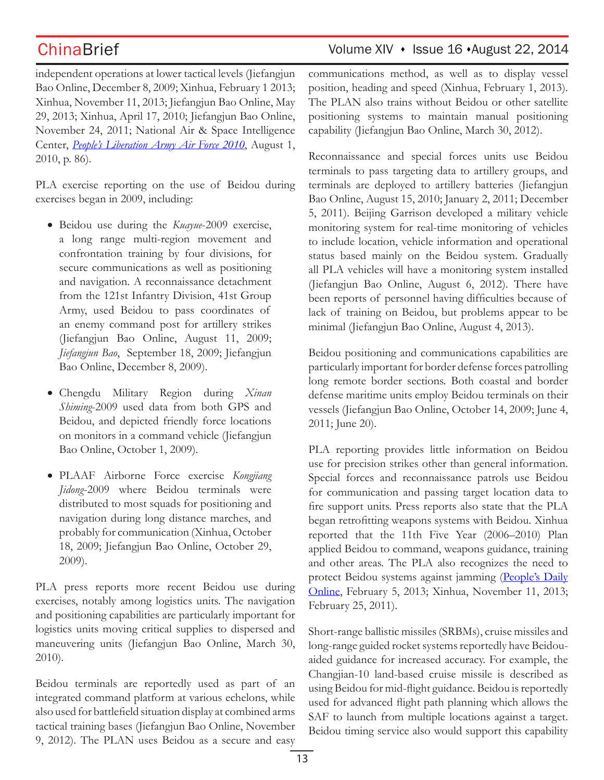independent operations at lower tactical levels (Jiefangjun Bao Online, December 8, 2009; Xinhua, February 1 2013; Xinhua, November 11, 2013; Jiefangjun Bao Online, May 29, 2013; Xinhua, April 17, 2010; Jiefangjun Bao Online, November 24, 2011; National Air & Space Intelligence Center, *People's Liberation Army Air Force 2010*, August 1, 2010, p. 86).

PLA exercise reporting on the use of Beidou during exercises began in 2009, including:

- • Beidou use during the *Kuayue*-2009 exercise, a long range multi-region movement and confrontation training by four divisions, for secure communications as well as positioning and navigation. A reconnaissance detachment from the 121st Infantry Division, 41st Group Army, used Beidou to pass coordinates of an enemy command post for artillery strikes (Jiefangjun Bao Online, August 11, 2009; *Jiefangjun Bao*, September 18, 2009; Jiefangjun Bao Online, December 8, 2009).
- • Chengdu Military Region during *Xinan Shiming*-2009 used data from both GPS and Beidou, and depicted friendly force locations on monitors in a command vehicle (Jiefangjun Bao Online, October 1, 2009).
- • PLAAF Airborne Force exercise *Kongjiang Jidong*-2009 where Beidou terminals were distributed to most squads for positioning and navigation during long distance marches, and probably for communication (Xinhua, October 18, 2009; Jiefangjun Bao Online, October 29, 2009).

PLA press reports more recent Beidou use during exercises, notably among logistics units. The navigation and positioning capabilities are particularly important for logistics units moving critical supplies to dispersed and maneuvering units (Jiefangjun Bao Online, March 30, 2010).

Beidou terminals are reportedly used as part of an integrated command platform at various echelons, while also used for battlefield situation display at combined arms tactical training bases (Jiefangjun Bao Online, November 9, 2012). The PLAN uses Beidou as a secure and easy

# ChinaBrief Volume XIV · Issue 16 · August 22, 2014

communications method, as well as to display vessel position, heading and speed (Xinhua, February 1, 2013). The PLAN also trains without Beidou or other satellite positioning systems to maintain manual positioning capability (Jiefangjun Bao Online, March 30, 2012).

Reconnaissance and special forces units use Beidou terminals to pass targeting data to artillery groups, and terminals are deployed to artillery batteries (Jiefangjun Bao Online, August 15, 2010; January 2, 2011; December 5, 2011). Beijing Garrison developed a military vehicle monitoring system for real-time monitoring of vehicles to include location, vehicle information and operational status based mainly on the Beidou system. Gradually all PLA vehicles will have a monitoring system installed (Jiefangjun Bao Online, August 6, 2012). There have been reports of personnel having difficulties because of lack of training on Beidou, but problems appear to be minimal (Jiefangjun Bao Online, August 4, 2013).

Beidou positioning and communications capabilities are particularly important for border defense forces patrolling long remote border sections. Both coastal and border defense maritime units employ Beidou terminals on their vessels (Jiefangjun Bao Online, October 14, 2009; June 4, 2011; June 20).

PLA reporting provides little information on Beidou use for precision strikes other than general information. Special forces and reconnaissance patrols use Beidou for communication and passing target location data to fire support units. Press reports also state that the PLA began retrofitting weapons systems with Beidou. Xinhua reported that the 11th Five Year (2006–2010) Plan applied Beidou to command, weapons guidance, training and other areas. The PLA also recognizes the need to protect Beidou systems against jamming (People's Daily Online, February 5, 2013; Xinhua, November 11, 2013; February 25, 2011).

Short-range ballistic missiles (SRBMs), cruise missiles and long-range guided rocket systems reportedly have Beidouaided guidance for increased accuracy. For example, the Changjian-10 land-based cruise missile is described as using Beidou for mid-flight guidance. Beidou is reportedly used for advanced flight path planning which allows the SAF to launch from multiple locations against a target. Beidou timing service also would support this capability